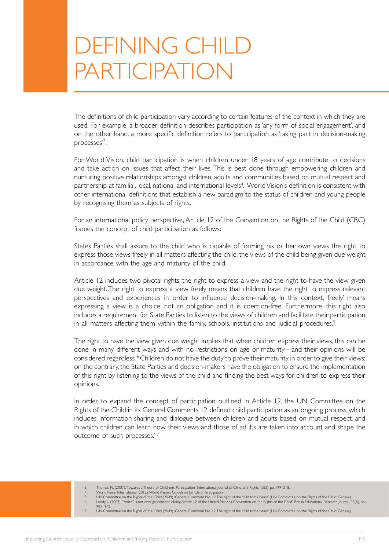# DEFINING CHILD PARTICIPATION

The definitions of child participation vary according to certain features of the context in which they are used. For example, a broader definition describes participation as 'any form of social engagement', and on the other hand, a more specific definition refers to participation as 'taking part in decision-making processes'3 .

For World Vision, child participation is when children under 18 years of age contribute to decisions and take action on issues that affect their lives. This is best done through empowering children and nurturing positive relationships amongst children, adults and communities based on mutual respect and partnership at familial, local, national and international levels<sup>4</sup>. World Vision's definition is consistent with other international definitions that establish a new paradigm to the status of children and young people by recognising them as subjects of rights.

For an international policy perspective, Article 12 of the Convention on the Rights of the Child (CRC) frames the concept of child participation as follows:

States Parties shall assure to the child who is capable of forming his or her own views the right to express those views freely in all matters affecting the child, the views of the child being given due weight in accordance with the age and maturity of the child.

Article 12 includes two pivotal rights: the right to express a view and the right to have the view given due weight. The right to express a view freely means that children have the right to express relevant perspectives and experiences in order to influence decision-making. In this context, 'freely' means expressing a view is a choice, not an obligation and it is coercion-free. Furthermore, this right also includes a requirement for State Parties to listen to the views of children and facilitate their participation in all matters affecting them within the family, schools, institutions and judicial procedures.<sup>5</sup>

The right to have the view given due weight implies that when children express their views, this can be done in many different ways and with no restrictions on age or maturity—and their opinions will be considered regardless.<sup>6</sup> Children do not have the duty to prove their maturity in order to give their views; on the contrary, the State Parties and decision-makers have the obligation to ensure the implementation of this right by listening to the views of the child and finding the best ways for children to express their opinions.

In order to expand the concept of participation outlined in Article 12, the UN Committee on the Rights of the Child in its General Comments 12 defined child participation as an 'ongoing process, which includes information-sharing and dialogue between children and adults based on mutual respect, and in which children can learn how their views and those of adults are taken into account and shape the outcome of such processes.' 7

- 3. Thomas, N. (2007). 'Towards a Theory of Children's Participation', International Journal of Children's Rights, 15(2), pp. 199–218.<br>World Vision International (2012) World Vision's Guidelines for Child Participation
- 

4. World Vision International (2012).World Vision's Guidelines for Child Participation.<br>5. UN Committee on the Rights of the Child (2009).'General Comment No. 12:The right of the child to be heard' (UN Commit  $-927-942$ .

- - 7. UN Committee on the Rights of the Child (2009). 'General Comment No. 12: The right of the child to be heard' (UN Committee on the Rights of the Child: Geneva).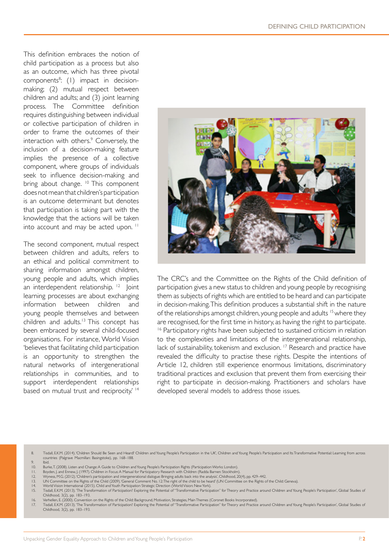This definition embraces the notion of child participation as a process but also as an outcome, which has three pivotal components<sup>8</sup>: (1) impact in decisionmaking; (2) mutual respect between children and adults; and (3) joint learning process. The Committee definition requires distinguishing between individual or collective participation of children in order to frame the outcomes of their interaction with others.<sup>9</sup> Conversely, the inclusion of a decision-making feature implies the presence of a collective component, where groups of individuals seek to influence decision-making and bring about change. <sup>10</sup> This component does not mean that children's participation is an outcome determinant but denotes that participation is taking part with the knowledge that the actions will be taken into account and may be acted upon.<sup>11</sup>

The second component, mutual respect between children and adults, refers to an ethical and political commitment to sharing information amongst children, young people and adults, which implies an interdependent relationship. 12 Joint learning processes are about exchanging information between children and young people themselves and between children and adults.<sup>13</sup> This concept has been embraced by several child-focused organisations. For instance, World Vision 'believes that facilitating child participation is an opportunity to strengthen the natural networks of intergenerational relationships in communities, and to support interdependent relationships based on mutual trust and reciprocity.<sup>' 14</sup>



The CRC's and the Committee on the Rights of the Child definition of participation gives a new status to children and young people by recognising them as subjects of rights which are entitled to be heard and can participate in decision-making. This definition produces a substantial shift in the nature of the relationships amongst children, young people and adults 15 where they are recognised, for the first time in history, as having the right to participate. <sup>16</sup> Participatory rights have been subjected to sustained criticism in relation to the complexities and limitations of the intergenerational relationship, lack of sustainability, tokenism and exclusion.<sup>17</sup> Research and practice have revealed the difficulty to practise these rights. Despite the intentions of Article 12, children still experience enormous limitations, discriminatory traditional practices and exclusion that prevent them from exercising their right to participate in decision-making. Practitioners and scholars have developed several models to address those issues.

8. Tisdall, E.K.M. (2014). 'Children Should Be Seen and Heard? Children and Young People's Participation in the UK', Children and Young People's Participation and Its Transformative Potential: Learning from across countries (Palgrave Macmillan: Basingstoke), pp. 168–188.

- 9. Ibid.<br>10. Burl
- 10. Burke,T. (2008). Listen and Change: A Guide to Children and Young People's Participation Rights (Participation Works: London).<br>11. Boyden, J. and Ennew, J. (1997). Children in Focus: A Manual for Participatory Research
- 12. Wyness, M.G. (2012). 'Children's participation and intergenerational dialogue: Bringing adults back into the analysis', Childhood, 20(4), pp. 429–442.
- 13. UN Committee on the Rights of the Child (2009). 'General Comment No. 12:The right of the child to be heard' (UN Committee on the Rights of the Child: Geneva)<br>14. World Vision International (2015). Child and Youth Parti
- 15. Tisdall, E.K.M. (2013). 'The Transformation of Participation? Exploring the Potential of "Transformative Participation" for Theory and Practice around Children and Young People's Participation', Global Studies of Childhood, 3(2), pp. 183–193.
- 

<sup>16.</sup> Verhellen, E. (2000). Convention on the Rights of the Child: Background, Motivation, Strategies, Main Themes (Coronet Books Incorporated).<br>17. Tisdall, E.K.M. (2013). The Transformation of Participation? Exploring the Childhood, 3(2), pp. 183–193.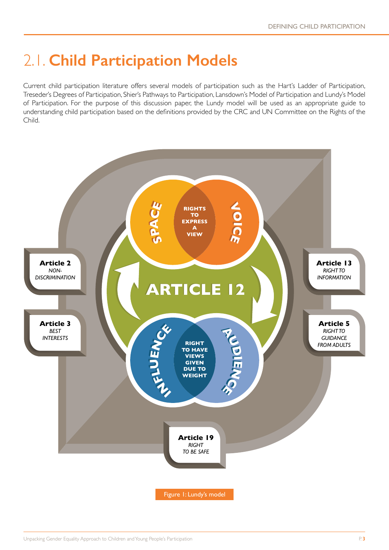# 2.1. **Child Participation Models**

Current child participation literature offers several models of participation such as the Hart's Ladder of Participation, Treseder's Degrees of Participation, Shier's Pathways to Participation, Lansdown's Model of Participation and Lundy's Model of Participation. For the purpose of this discussion paper, the Lundy model will be used as an appropriate guide to understanding child participation based on the definitions provided by the CRC and UN Committee on the Rights of the Child.

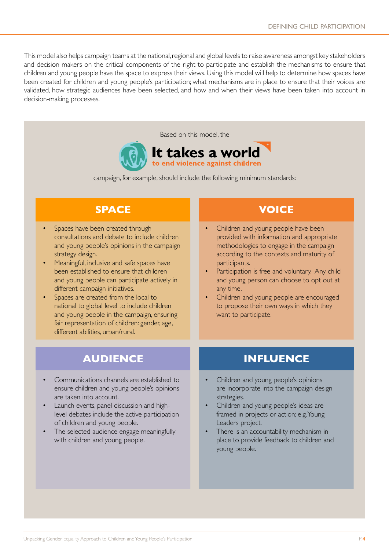This model also helps campaign teams at the national, regional and global levels to raise awareness amongst key stakeholders and decision makers on the critical components of the right to participate and establish the mechanisms to ensure that children and young people have the space to express their views. Using this model will help to determine how spaces have been created for children and young people's participation; what mechanisms are in place to ensure that their voices are validated, how strategic audiences have been selected, and how and when their views have been taken into account in decision-making processes.





campaign, for example, should include the following minimum standards:

### **SPACE VOICE**

- Spaces have been created through consultations and debate to include children and young people's opinions in the campaign strategy design.
- Meaningful, inclusive and safe spaces have been established to ensure that children and young people can participate actively in different campaign initiatives.
- Spaces are created from the local to national to global level to include children and young people in the campaign, ensuring fair representation of children: gender, age, different abilities, urban/rural.

- Children and young people have been provided with information and appropriate methodologies to engage in the campaign according to the contexts and maturity of participants.
- Participation is free and voluntary. Any child and young person can choose to opt out at any time.
- Children and young people are encouraged to propose their own ways in which they want to participate.

- Communications channels are established to ensure children and young people's opinions are taken into account.
- Launch events, panel discussion and highlevel debates include the active participation of children and young people.
- The selected audience engage meaningfully with children and young people.

### **AUDIENCE INFLUENCE**

- Children and young people's opinions are incorporate into the campaign design strategies.
- Children and young people's ideas are framed in projects or action; e.g. Young Leaders project.
- There is an accountability mechanism in place to provide feedback to children and young people.